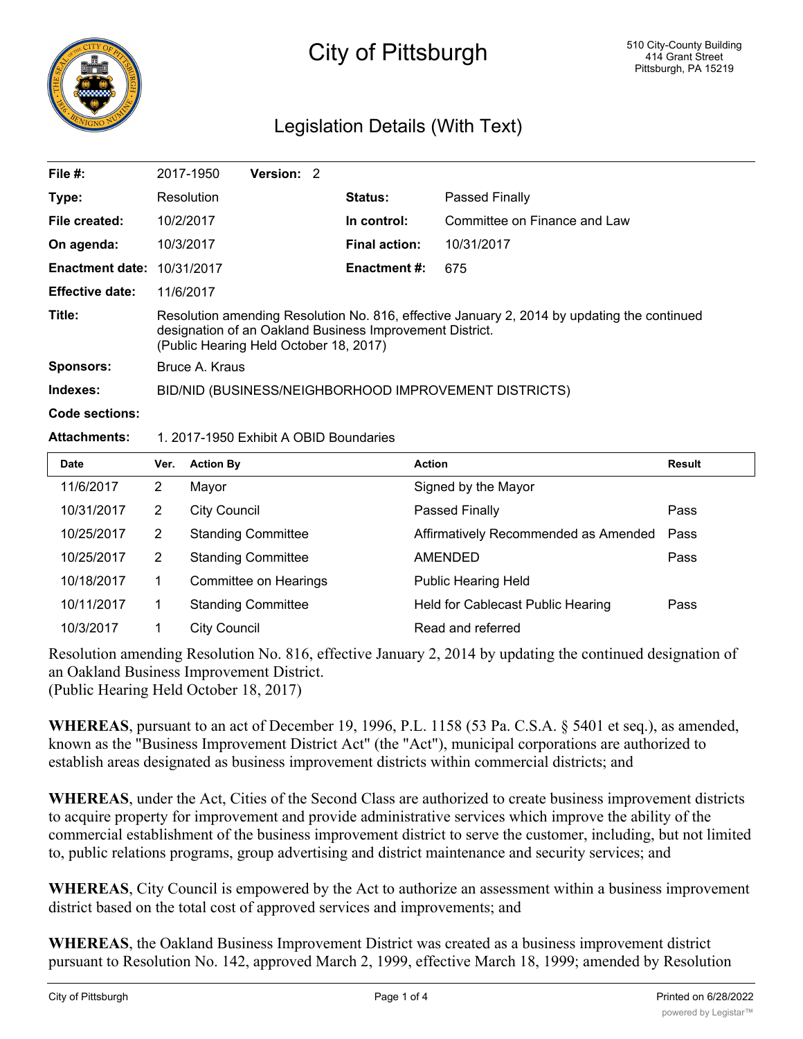

## City of Pittsburgh

## Legislation Details (With Text)

| File $#$ :             | 2017-1950                                                                                                                                                                                         | Version: 2 |  |                      |                              |  |  |
|------------------------|---------------------------------------------------------------------------------------------------------------------------------------------------------------------------------------------------|------------|--|----------------------|------------------------------|--|--|
| Type:                  | Resolution                                                                                                                                                                                        |            |  | <b>Status:</b>       | Passed Finally               |  |  |
| File created:          | 10/2/2017                                                                                                                                                                                         |            |  | In control:          | Committee on Finance and Law |  |  |
| On agenda:             | 10/3/2017                                                                                                                                                                                         |            |  | <b>Final action:</b> | 10/31/2017                   |  |  |
| <b>Enactment date:</b> | 10/31/2017                                                                                                                                                                                        |            |  | <b>Enactment #:</b>  | 675                          |  |  |
| <b>Effective date:</b> | 11/6/2017                                                                                                                                                                                         |            |  |                      |                              |  |  |
| Title:                 | Resolution amending Resolution No. 816, effective January 2, 2014 by updating the continued<br>designation of an Oakland Business Improvement District.<br>(Public Hearing Held October 18, 2017) |            |  |                      |                              |  |  |
| <b>Sponsors:</b>       | Bruce A. Kraus                                                                                                                                                                                    |            |  |                      |                              |  |  |
| Indexes:               | BID/NID (BUSINESS/NEIGHBORHOOD IMPROVEMENT DISTRICTS)                                                                                                                                             |            |  |                      |                              |  |  |
| Code sections:         |                                                                                                                                                                                                   |            |  |                      |                              |  |  |

## **Attachments:** 1. 2017-1950 Exhibit A OBID Boundaries

| Date       | Ver. | <b>Action By</b>          | <b>Action</b>                        | <b>Result</b> |
|------------|------|---------------------------|--------------------------------------|---------------|
| 11/6/2017  | 2    | Mayor                     | Signed by the Mayor                  |               |
| 10/31/2017 | 2    | <b>City Council</b>       | Passed Finally                       | Pass          |
| 10/25/2017 | 2    | <b>Standing Committee</b> | Affirmatively Recommended as Amended | Pass          |
| 10/25/2017 | 2    | <b>Standing Committee</b> | AMENDED                              | Pass          |
| 10/18/2017 |      | Committee on Hearings     | <b>Public Hearing Held</b>           |               |
| 10/11/2017 |      | <b>Standing Committee</b> | Held for Cablecast Public Hearing    | Pass          |
| 10/3/2017  |      | City Council              | Read and referred                    |               |

Resolution amending Resolution No. 816, effective January 2, 2014 by updating the continued designation of an Oakland Business Improvement District. (Public Hearing Held October 18, 2017)

**WHEREAS**, pursuant to an act of December 19, 1996, P.L. 1158 (53 Pa. C.S.A. § 5401 et seq.), as amended, known as the "Business Improvement District Act" (the "Act"), municipal corporations are authorized to

establish areas designated as business improvement districts within commercial districts; and

**WHEREAS**, under the Act, Cities of the Second Class are authorized to create business improvement districts to acquire property for improvement and provide administrative services which improve the ability of the commercial establishment of the business improvement district to serve the customer, including, but not limited to, public relations programs, group advertising and district maintenance and security services; and

**WHEREAS**, City Council is empowered by the Act to authorize an assessment within a business improvement district based on the total cost of approved services and improvements; and

**WHEREAS**, the Oakland Business Improvement District was created as a business improvement district pursuant to Resolution No. 142, approved March 2, 1999, effective March 18, 1999; amended by Resolution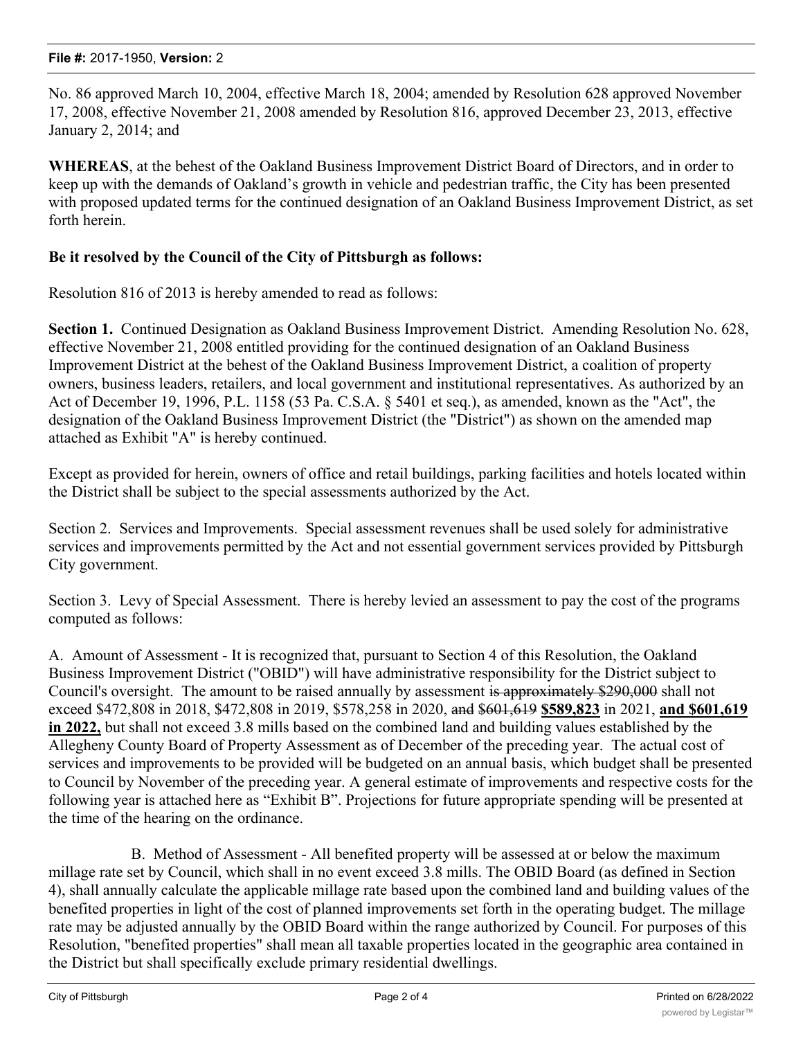No. 86 approved March 10, 2004, effective March 18, 2004; amended by Resolution 628 approved November 17, 2008, effective November 21, 2008 amended by Resolution 816, approved December 23, 2013, effective January 2, 2014; and

**WHEREAS**, at the behest of the Oakland Business Improvement District Board of Directors, and in order to keep up with the demands of Oakland's growth in vehicle and pedestrian traffic, the City has been presented with proposed updated terms for the continued designation of an Oakland Business Improvement District, as set forth herein.

## **Be it resolved by the Council of the City of Pittsburgh as follows:**

Resolution 816 of 2013 is hereby amended to read as follows:

**Section 1.** Continued Designation as Oakland Business Improvement District. Amending Resolution No. 628, effective November 21, 2008 entitled providing for the continued designation of an Oakland Business Improvement District at the behest of the Oakland Business Improvement District, a coalition of property owners, business leaders, retailers, and local government and institutional representatives. As authorized by an Act of December 19, 1996, P.L. 1158 (53 Pa. C.S.A. § 5401 et seq.), as amended, known as the "Act", the designation of the Oakland Business Improvement District (the "District") as shown on the amended map attached as Exhibit "A" is hereby continued.

Except as provided for herein, owners of office and retail buildings, parking facilities and hotels located within the District shall be subject to the special assessments authorized by the Act.

Section 2. Services and Improvements. Special assessment revenues shall be used solely for administrative services and improvements permitted by the Act and not essential government services provided by Pittsburgh City government.

Section 3. Levy of Special Assessment. There is hereby levied an assessment to pay the cost of the programs computed as follows:

A. Amount of Assessment - It is recognized that, pursuant to Section 4 of this Resolution, the Oakland Business Improvement District ("OBID") will have administrative responsibility for the District subject to Council's oversight. The amount to be raised annually by assessment is approximately \$290,000 shall not exceed \$472,808 in 2018, \$472,808 in 2019, \$578,258 in 2020, and \$601,619 **\$589,823** in 2021, **and \$601,619 in 2022,** but shall not exceed 3.8 mills based on the combined land and building values established by the Allegheny County Board of Property Assessment as of December of the preceding year. The actual cost of services and improvements to be provided will be budgeted on an annual basis, which budget shall be presented to Council by November of the preceding year. A general estimate of improvements and respective costs for the following year is attached here as "Exhibit B". Projections for future appropriate spending will be presented at the time of the hearing on the ordinance.

 B. Method of Assessment - All benefited property will be assessed at or below the maximum millage rate set by Council, which shall in no event exceed 3.8 mills. The OBID Board (as defined in Section 4), shall annually calculate the applicable millage rate based upon the combined land and building values of the benefited properties in light of the cost of planned improvements set forth in the operating budget. The millage rate may be adjusted annually by the OBID Board within the range authorized by Council. For purposes of this Resolution, "benefited properties" shall mean all taxable properties located in the geographic area contained in the District but shall specifically exclude primary residential dwellings.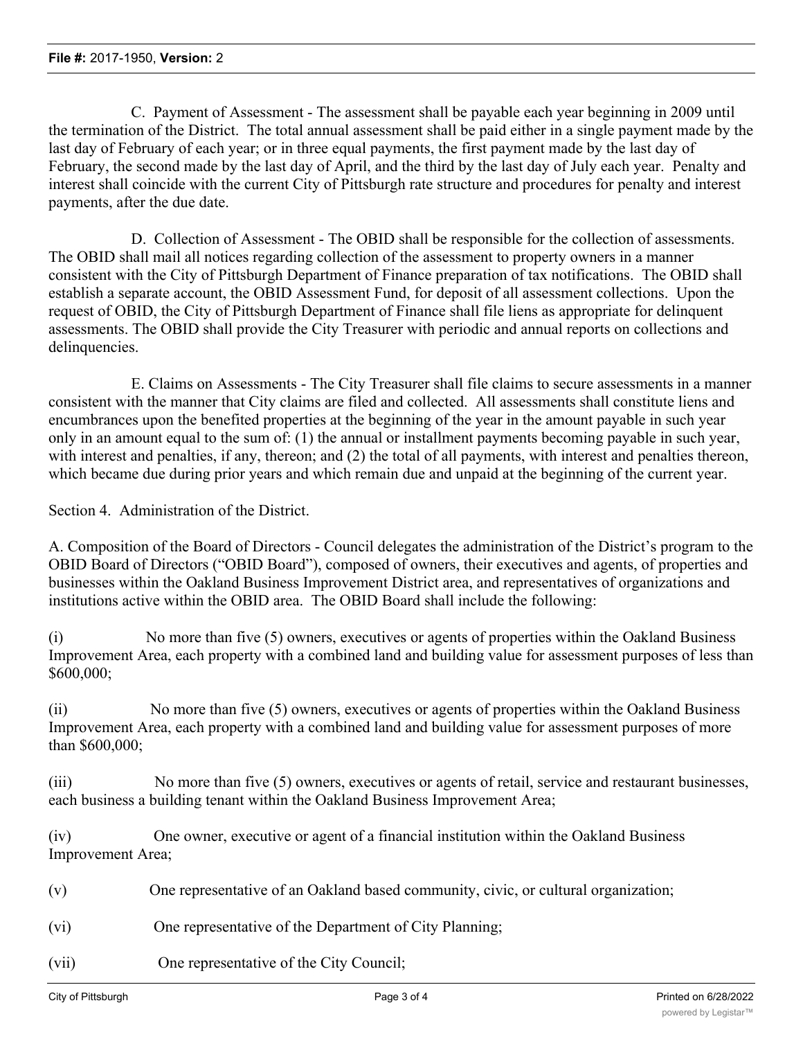C. Payment of Assessment - The assessment shall be payable each year beginning in 2009 until the termination of the District. The total annual assessment shall be paid either in a single payment made by the last day of February of each year; or in three equal payments, the first payment made by the last day of February, the second made by the last day of April, and the third by the last day of July each year. Penalty and interest shall coincide with the current City of Pittsburgh rate structure and procedures for penalty and interest payments, after the due date.

 D. Collection of Assessment - The OBID shall be responsible for the collection of assessments. The OBID shall mail all notices regarding collection of the assessment to property owners in a manner consistent with the City of Pittsburgh Department of Finance preparation of tax notifications. The OBID shall establish a separate account, the OBID Assessment Fund, for deposit of all assessment collections. Upon the request of OBID, the City of Pittsburgh Department of Finance shall file liens as appropriate for delinquent assessments. The OBID shall provide the City Treasurer with periodic and annual reports on collections and delinquencies.

 E. Claims on Assessments - The City Treasurer shall file claims to secure assessments in a manner consistent with the manner that City claims are filed and collected. All assessments shall constitute liens and encumbrances upon the benefited properties at the beginning of the year in the amount payable in such year only in an amount equal to the sum of: (1) the annual or installment payments becoming payable in such year, with interest and penalties, if any, thereon; and (2) the total of all payments, with interest and penalties thereon, which became due during prior years and which remain due and unpaid at the beginning of the current year.

Section 4. Administration of the District.

A. Composition of the Board of Directors - Council delegates the administration of the District's program to the OBID Board of Directors ("OBID Board"), composed of owners, their executives and agents, of properties and businesses within the Oakland Business Improvement District area, and representatives of organizations and institutions active within the OBID area. The OBID Board shall include the following:

(i) No more than five (5) owners, executives or agents of properties within the Oakland Business Improvement Area, each property with a combined land and building value for assessment purposes of less than \$600,000;

(ii) No more than five (5) owners, executives or agents of properties within the Oakland Business Improvement Area, each property with a combined land and building value for assessment purposes of more than \$600,000;

(iii) No more than five (5) owners, executives or agents of retail, service and restaurant businesses, each business a building tenant within the Oakland Business Improvement Area;

(iv) One owner, executive or agent of a financial institution within the Oakland Business Improvement Area;

(v) One representative of an Oakland based community, civic, or cultural organization;

- (vi) One representative of the Department of City Planning;
- (vii) One representative of the City Council;